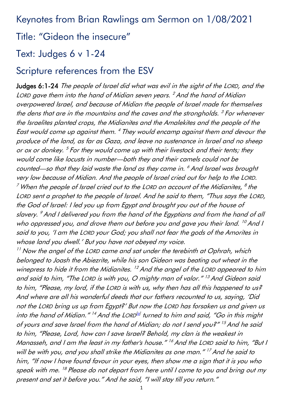Keynotes from Brian Rawlings am Sermon on 1/08/2021

# Title: "Gideon the insecure"

## Text: Judges 6 v 1-24

## Scripture references from the ESV

Judges 6:1-24 The people of Israel did what was evil in the sight of the LORD, and the LORD gave them into the hand of Midian seven years. <sup>2</sup> And the hand of Midian overpowered Israel, and because of Midian the people of Israel made for themselves the dens that are in the mountains and the caves and the strongholds. <sup>3</sup> For whenever the Israelites planted crops, the Midianites and the Amalekites and the people of the East would come up against them.  $^4$  They would encamp against them and devour the produce of the land, as far as Gaza, and leave no sustenance in Israel and no sheep or ox or donkey. <sup>5</sup> For they would come up with their livestock and their tents; they would come like locusts in number—both they and their camels could not be counted—so that they laid waste the land as they came in. <sup>6</sup> And Israel was brought very low because of Midian. And the people of Israel cried out for help to the LORD.  $^7$  When the people of Israel cried out to the LORD on account of the Midianites,  $^8$  the LORD sent a prophet to the people of Israel. And he said to them, "Thus says the LORD, the God of Israel: I led you up from Egypt and brought you out of the house of slavery. <sup>9</sup> And I delivered you from the hand of the Egyptians and from the hand of all who oppressed you, and drove them out before you and gave you their land. <sup>10</sup> And I said to you, 'I am the LORD your God; you shall not fear the gods of the Amorites in whose land you dwell.' But you have not obeyed my voice.

 $11$  Now the angel of the LORD came and sat under the terebinth at Ophrah, which belonged to Joash the Abiezrite, while his son Gideon was beating out wheat in the winepress to hide it from the Midianites.<sup>12</sup> And the angel of the LORD appeared to him and said to him, "The LORD is with you, O mighty man of valor." <sup>13</sup> And Gideon said to him, "Please, my lord, if the LORD is with us, why then has all this happened to us? And where are all his wonderful deeds that our fathers recounted to us, saying, 'Did not the LORD bring us up from Egypt?' But now the LORD has forsaken us and given us into the hand of Midian." <sup>14</sup> And the LORD<sup>'a]</sup> turned to him and said, "Go in this might of yours and save Israel from the hand of Midian; do not I send you?" <sup>15</sup> And he said to him, "Please, Lord, how can I save Israel? Behold, my clan is the weakest in Manasseh, and I am the least in my father's house." <sup>16</sup> And the LORD said to him, "But I will be with you, and you shall strike the Midianites as one man."<sup>17</sup> And he said to him, "If now I have found favour in your eyes, then show me a sign that it is you who speak with me. <sup>18</sup> Please do not depart from here until I come to you and bring out my present and set it before you." And he said, "I will stay till you return."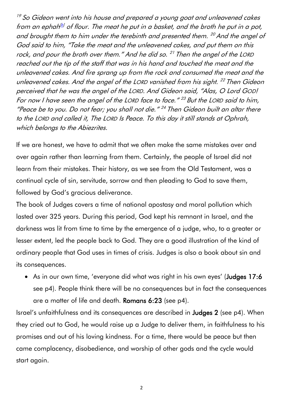<sup>19</sup> So Gideon went into his house and prepared a young goat and unleavened cakes from an ephah<sup>[\[b\]](https://www.biblegateway.com/passage/?search=Judges+6&version=ESV#fen-ESV-6674b)</sup> of flour. The meat he put in a basket, and the broth he put in a pot, and brought them to him under the terebinth and presented them. <sup>20</sup> And the angel of God said to him, "Take the meat and the unleavened cakes, and put them on this rock, and pour the broth over them." And he did so. <sup>21</sup> Then the angel of the LORD reached out the tip of the staff that was in his hand and touched the meat and the unleavened cakes. And fire sprang up from the rock and consumed the meat and the unleavened cakes. And the angel of the LORD vanished from his sight. <sup>22</sup> Then Gideon perceived that he was the angel of the LORD. And Gideon said, "Alas, O Lord GOD! For now I have seen the angel of the LORD face to face." <sup>23</sup> But the LORD said to him, "Peace be to you. Do not fear; you shall not die." 24 Then Gideon built an altar there to the LORD and called it, The LORD Is Peace. To this day it still stands at Ophrah, which belongs to the Abiezrites.

If we are honest, we have to admit that we often make the same mistakes over and over again rather than learning from them. Certainly, the people of Israel did not learn from their mistakes. Their history, as we see from the Old Testament, was a continual cycle of sin, servitude, sorrow and then pleading to God to save them, followed by God's gracious deliverance.

The book of Judges covers a time of national apostasy and moral pollution which lasted over 325 years. During this period, God kept his remnant in Israel, and the darkness was lit from time to time by the emergence of a judge, who, to a greater or lesser extent, led the people back to God. They are a good illustration of the kind of ordinary people that God uses in times of crisis. Judges is also a book about sin and its consequences.

• As in our own time, 'everyone did what was right in his own eyes' (**Judges 17:6**) see p4). People think there will be no consequences but in fact the consequences are a matter of life and death. Romans 6:23 (see p4).

Israel's unfaithfulness and its consequences are described in Judges 2 (see p4). When they cried out to God, he would raise up a Judge to deliver them, in faithfulness to his promises and out of his loving kindness. For a time, there would be peace but then came complacency, disobedience, and worship of other gods and the cycle would start again.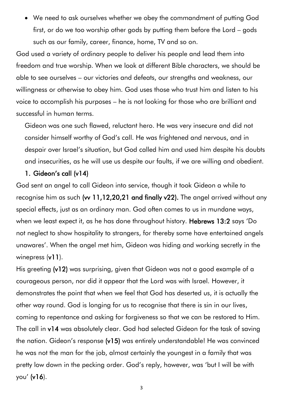• We need to ask ourselves whether we obey the commandment of putting God first, or do we too worship other gods by putting them before the Lord – gods such as our family, career, finance, home, TV and so on.

God used a variety of ordinary people to deliver his people and lead them into freedom and true worship. When we look at different Bible characters, we should be able to see ourselves – our victories and defeats, our strengths and weakness, our willingness or otherwise to obey him. God uses those who trust him and listen to his voice to accomplish his purposes – he is not looking for those who are brilliant and successful in human terms.

Gideon was one such flawed, reluctant hero. He was very insecure and did not consider himself worthy of God's call. He was frightened and nervous, and in despair over Israel's situation, but God called him and used him despite his doubts and insecurities, as he will use us despite our faults, if we are willing and obedient.

#### 1. Gideon's call (v14)

God sent an angel to call Gideon into service, though it took Gideon a while to recognise him as such (w 11,12,20,21 and finally v22). The angel arrived without any special effects, just as an ordinary man. God often comes to us in mundane ways, when we least expect it, as he has done throughout history. Hebrews 13:2 says 'Do not neglect to show hospitality to strangers, for thereby some have entertained angels unawares'. When the angel met him, Gideon was hiding and working secretly in the winepress (v11).

His greeting (v12) was surprising, given that Gideon was not a good example of a courageous person, nor did it appear that the Lord was with Israel. However, it demonstrates the point that when we feel that God has deserted us, it is actually the other way round. God is longing for us to recognise that there is sin in our lives, coming to repentance and asking for forgiveness so that we can be restored to Him. The call in v14 was absolutely clear. God had selected Gideon for the task of saving the nation. Gideon's response (v15) was entirely understandable! He was convinced he was not the man for the job, almost certainly the youngest in a family that was pretty low down in the pecking order. God's reply, however, was 'but I will be with you' (v16).

3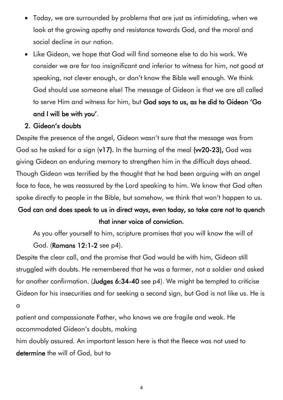- Today, we are surrounded by problems that are just as intimidating, when we look at the growing apathy and resistance towards God, and the moral and social decline in our nation.
- Like Gideon, we hope that God will find someone else to do his work. We consider we are far too insignificant and inferior to witness for him, not good at speaking, not clever enough, or don't know the Bible well enough. We think God should use someone else! The message of Gideon is that we are all called to serve Him and witness for him, but God says to us, as he did to Gideon 'Go and I will be with you'.

#### 2. Gideon's doubts

Despite the presence of the angel, Gideon wasn't sure that the message was from God so he asked for a sign (v17). In the burning of the meal (vv20-23), God was giving Gideon an enduring memory to strengthen him in the difficult days ahead. Though Gideon was terrified by the thought that he had been arguing with an angel face to face, he was reassured by the Lord speaking to him. We know that God often spoke directly to people in the Bible, but somehow, we think that won't happen to us.

### God can and does speak to us in direct ways, even today, so take care not to quench that inner voice of conviction.

As you offer yourself to him, scripture promises that you will know the will of God. (Romans 12:1-2 see p4).

Despite the clear call, and the promise that God would be with him, Gideon still struggled with doubts. He remembered that he was a farmer, not a soldier and asked for another confirmation. (Judges 6:34-40 see p4). We might be tempted to criticise Gideon for his insecurities and for seeking a second sign, but God is not like us. He is a

patient and compassionate Father, who knows we are fragile and weak. He accommodated Gideon's doubts, making

him doubly assured. An important lesson here is that the fleece was not used to determine the will of God, but to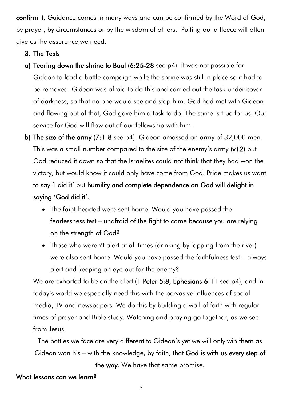confirm it. Guidance comes in many ways and can be confirmed by the Word of God, by prayer, by circumstances or by the wisdom of others. Putting out a fleece will often give us the assurance we need.

#### 3. The Tests

- a) Tearing down the shrine to Baal (6:25-28 see p4). It was not possible for Gideon to lead a battle campaign while the shrine was still in place so it had to be removed. Gideon was afraid to do this and carried out the task under cover of darkness, so that no one would see and stop him. God had met with Gideon and flowing out of that, God gave him a task to do. The same is true for us. Our service for God will flow out of our fellowship with him.
- b) The size of the army (7:1-8 see p4). Gideon amassed an army of 32,000 men. This was a small number compared to the size of the enemy's army (v12) but God reduced it down so that the Israelites could not think that they had won the victory, but would know it could only have come from God. Pride makes us want to say 'I did it' but humility and complete dependence on God will delight in saying 'God did it'.
	- The faint-hearted were sent home. Would you have passed the fearlessness test – unafraid of the fight to come because you are relying on the strength of God?
	- Those who weren't alert at all times (drinking by lapping from the river) were also sent home. Would you have passed the faithfulness test – always alert and keeping an eye out for the enemy?

We are exhorted to be on the alert (1 Peter 5:8, Ephesians 6:11 see p4), and in today's world we especially need this with the pervasive influences of social media, TV and newspapers. We do this by building a wall of faith with regular times of prayer and Bible study. Watching and praying go together, as we see from Jesus.

The battles we face are very different to Gideon's yet we will only win them as Gideon won his – with the knowledge, by faith, that God is with us every step of

the way. We have that same promise.

#### What lessons can we learn?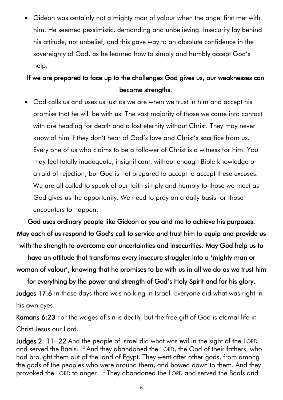• Gideon was certainly not a mighty man of valour when the angel first met with him. He seemed pessimistic, demanding and unbelieving. Insecurity lay behind his attitude, not unbelief, and this gave way to an absolute confidence in the sovereignty of God, as he learned how to simply and humbly accept God's help.

## If we are prepared to face up to the challenges God gives us, our weaknesses can become strengths.

• God calls us and uses us just as we are when we trust in him and accept his promise that he will be with us. The vast majority of those we come into contact with are heading for death and a lost eternity without Christ. They may never know of him if they don't hear of God's love and Christ's sacrifice from us. Every one of us who claims to be a follower of Christ is a witness for him. You may feel totally inadequate, insignificant, without enough Bible knowledge or afraid of rejection, but God is not prepared to accept to accept these excuses. We are all called to speak of our faith simply and humbly to those we meet as God gives us the opportunity. We need to pray on a daily basis for those encounters to happen.

God uses ordinary people like Gideon or you and me to achieve his purposes. May each of us respond to God's call to service and trust him to equip and provide us with the strength to overcome our uncertainties and insecurities. May God help us to

have an attitude that transforms every insecure struggler into a 'mighty man or woman of valour', knowing that he promises to be with us in all we do as we trust him

for everything by the power and strength of God's Holy Spirit and for his glory. Judges 17:6 In those days there was no king in Israel. Everyone did what was right in his own eyes.

Romans 6:23 For the wages of sin is death, but the free gift of God is eternal life in Christ Jesus our Lord.

Judges 2: 11- 22 And the people of Israel did what was evil in the sight of the LORD and served the Baals. <sup>12</sup> And they abandoned the LORD, the God of their fathers, who had brought them out of the land of Egypt. They went after other gods, from among the gods of the peoples who were around them, and bowed down to them. And they provoked the LORD to anger. <sup>13</sup> They abandoned the LORD and served the Baals and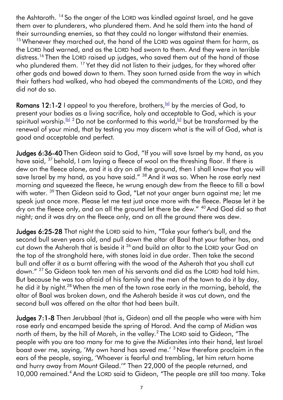the Ashtaroth. <sup>14</sup> So the anger of the LORD was kindled against Israel, and he gave them over to plunderers, who plundered them. And he sold them into the hand of their surrounding enemies, so that they could no longer withstand their enemies. <sup>15</sup> Whenever they marched out, the hand of the LORD was against them for harm, as the LORD had warned, and as the LORD had sworn to them. And they were in terrible distress.<sup>16</sup> Then the LORD raised up judges, who saved them out of the hand of those who plundered them. <sup>17</sup> Yet they did not listen to their judges, for they whored after other gods and bowed down to them. They soon turned aside from the way in which their fathers had walked, who had obeyed the commandments of the LORD, and they did not do so.

Romans 12:1-2 I appeal to you therefore, brothers,  $[4]$  by the mercies of God, to present your bodies as a living sacrifice, holy and acceptable to God, which is your spiritual worship.<sup>[\[b\]](https://www.biblegateway.com/passage/?search=Romans+12&version=ESV#fen-ESV-28231b) 2</sup> Do not be conformed to this world,<sup>[\[c\]](https://www.biblegateway.com/passage/?search=Romans+12&version=ESV#fen-ESV-28232c)</sup> but be transformed by the renewal of your mind, that by testing you may discern what is the will of God, what is good and acceptable and perfect.

Judges 6:36-40 Then Gideon said to God, "If you will save Israel by my hand, as you have said, <sup>37</sup> behold, I am laying a fleece of wool on the threshing floor. If there is dew on the fleece alone, and it is dry on all the ground, then I shall know that you will save Israel by my hand, as you have said." <sup>38</sup> And it was so. When he rose early next morning and squeezed the fleece, he wrung enough dew from the fleece to fill a bowl with water. <sup>39</sup> Then Gideon said to God, "Let not your anger burn against me; let me speak just once more. Please let me test just once more with the fleece. Please let it be dry on the fleece only, and on all the ground let there be dew." <sup>40</sup> And God did so that night; and it was dry on the fleece only, and on all the ground there was dew.

Judges 6:25-28 That night the LORD said to him, "Take your father's bull, and the second bull seven years old, and pull down the altar of Baal that your father has, and cut down the Asherah that is beside it <sup>26</sup> and build an altar to the LORD your God on the top of the stronghold here, with stones laid in due order. Then take the second bull and offer it as a burnt offering with the wood of the Asherah that you shall cut down." <sup>27</sup> So Gideon took ten men of his servants and did as the LORD had told him. But because he was too afraid of his family and the men of the town to do it by day, he did it by night.<sup>28</sup> When the men of the town rose early in the morning, behold, the altar of Baal was broken down, and the Asherah beside it was cut down, and the second bull was offered on the altar that had been built.

Judges 7:1-8 Then Jerubbaal (that is, Gideon) and all the people who were with him rose early and encamped beside the spring of Harod. And the camp of Midian was north of them, by the hill of Moreh, in the valley. $^2$  The LORD said to Gideon, "The people with you are too many for me to give the Midianites into their hand, lest Israel boast over me, saying, 'My own hand has saved me.' <sup>3</sup> Now therefore proclaim in the ears of the people, saying, 'Whoever is fearful and trembling, let him return home and hurry away from Mount Gilead.'" Then 22,000 of the people returned, and 10,000 remained.<sup>4</sup> And the LORD said to Gideon, "The people are still too many. Take